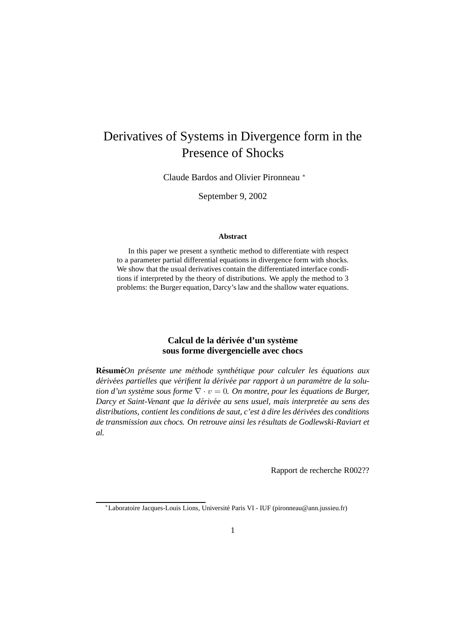# Derivatives of Systems in Divergence form in the Presence of Shocks

Claude Bardos and Olivier Pironneau <sup>∗</sup>

September 9, 2002

#### **Abstract**

In this paper we present a synthetic method to differentiate with respect to a parameter partial differential equations in divergence form with shocks. We show that the usual derivatives contain the differentiated interface conditions if interpreted by the theory of distributions. We apply the method to 3 problems: the Burger equation, Darcy's law and the shallow water equations.

## **Calcul de la deri ´ vee´ d'un systeme ` sous forme divergencielle avec chocs**

**Résumé**On présente une méthode synthétique pour calculer les équations aux dérivées partielles que vérifient la dérivée par rapport à un paramètre de la solu*tion d'un système sous forme*  $\nabla \cdot v = 0$ *. On montre, pour les équations de Burger, Darcy et Saint-Venant que la deriv ´ ee´ au sens usuel, mais interpretee´ au sens des distributions, contient les conditions de saut, c'est a` dire les deriv ´ ees ´ des conditions de transmission aux chocs. On retrouve ainsi les resultats ´ de Godlewski-Raviart et al.*

Rapport de recherche R002??

<sup>∗</sup>Laboratoire Jacques-Louis Lions, Universite´ Paris VI - IUF (pironneau@ann.jussieu.fr)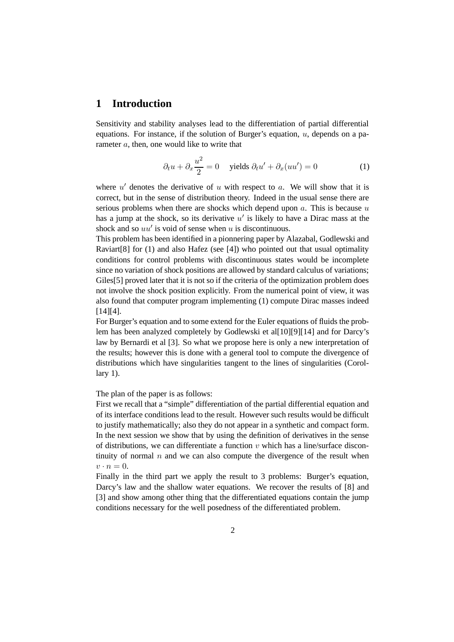## **1 Introduction**

Sensitivity and stability analyses lead to the differentiation of partial differential equations. For instance, if the solution of Burger's equation,  $u$ , depends on a parameter a, then, one would like to write that

$$
\partial_t u + \partial_x \frac{u^2}{2} = 0 \quad \text{ yields } \partial_t u' + \partial_x (uu') = 0 \tag{1}
$$

where  $u'$  denotes the derivative of u with respect to a. We will show that it is correct, but in the sense of distribution theory. Indeed in the usual sense there are serious problems when there are shocks which depend upon  $a$ . This is because  $u$ has a jump at the shock, so its derivative  $u'$  is likely to have a Dirac mass at the shock and so  $uu'$  is void of sense when u is discontinuous.

This problem has been identified in a pionnering paper by Alazabal, Godlewski and Raviart[8] for (1) and also Hafez (see [4]) who pointed out that usual optimality conditions for control problems with discontinuous states would be incomplete since no variation of shock positions are allowed by standard calculus of variations; Giles[5] proved later that it is not so if the criteria of the optimization problem does not involve the shock position explicitly. From the numerical point of view, it was also found that computer program implementing (1) compute Dirac masses indeed [14][4].

For Burger's equation and to some extend for the Euler equations of fluids the problem has been analyzed completely by Godlewski et al[10][9][14] and for Darcy's law by Bernardi et al [3]. So what we propose here is only a new interpretation of the results; however this is done with a general tool to compute the divergence of distributions which have singularities tangent to the lines of singularities (Corollary 1).

The plan of the paper is as follows:

First we recall that a "simple" differentiation of the partial differential equation and of its interface conditions lead to the result. However such results would be difficult to justify mathematically; also they do not appear in a synthetic and compact form. In the next session we show that by using the definition of derivatives in the sense of distributions, we can differentiate a function  $v$  which has a line/surface discontinuity of normal  $n$  and we can also compute the divergence of the result when  $v \cdot n = 0.$ 

Finally in the third part we apply the result to 3 problems: Burger's equation, Darcy's law and the shallow water equations. We recover the results of [8] and [3] and show among other thing that the differentiated equations contain the jump conditions necessary for the well posedness of the differentiated problem.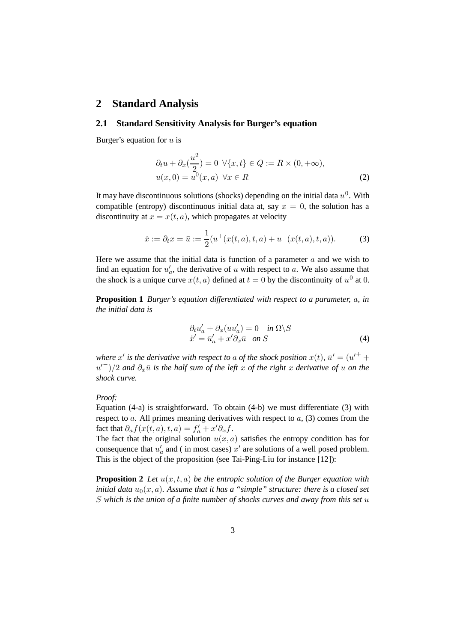## **2 Standard Analysis**

#### **2.1 Standard Sensitivity Analysis for Burger's equation**

Burger's equation for  $u$  is

$$
\partial_t u + \partial_x \left(\frac{u^2}{2}\right) = 0 \quad \forall \{x, t\} \in Q := R \times (0, +\infty),
$$
  

$$
u(x, 0) = u^0(x, a) \quad \forall x \in R
$$
 (2)

It may have discontinuous solutions (shocks) depending on the initial data  $u^0$ . With compatible (entropy) discontinuous initial data at, say  $x = 0$ , the solution has a discontinuity at  $x = x(t, a)$ , which propagates at velocity

$$
\dot{x} := \partial_t x = \bar{u} := \frac{1}{2} (u^+(x(t,a),t,a) + u^-(x(t,a),t,a)).
$$
 (3)

Here we assume that the initial data is function of a parameter  $a$  and we wish to find an equation for  $u'$  $a'_{a}$ , the derivative of u with respect to a. We also assume that the shock is a unique curve  $x(t, a)$  defined at  $t = 0$  by the discontinuity of  $u<sup>0</sup>$  at 0.

**Proposition 1** *Burger's equation differentiated with respect to a parameter,* a*, in the initial data is*

$$
\partial_t u'_a + \partial_x (uu'_a) = 0 \quad \text{in } \Omega \backslash S \n\dot{x}' = \bar{u}'_a + x'\partial_x \bar{u} \quad \text{on } S
$$
\n(4)

*where*  $x'$  *is the derivative with respect to a of the shock position*  $x(t)$ *,*  $\bar{u}' = (u'^+ +$  $(u<sup>-</sup>)/2$  *and*  $\partial_x \bar{u}$  *is the half sum of the left* x *of the right* x *derivative of u on the shock curve.*

#### *Proof:*

Equation (4-a) is straightforward. To obtain (4-b) we must differentiate (3) with respect to  $a$ . All primes meaning derivatives with respect to  $a$ , (3) comes from the fact that  $\partial_a f(x(t, a), t, a) = f'_a + x' \partial_x f$ .

The fact that the original solution  $u(x, a)$  satisfies the entropy condition has for consequence that  $u'$  $a_a'$  and (in most cases)  $x'$  are solutions of a well posed problem. This is the object of the proposition (see Tai-Ping-Liu for instance [12]):

**Proposition 2** *Let*  $u(x,t,a)$  *be the entropic solution of the Burger equation with initial data*  $u_0(x, a)$ *. Assume that it has a "simple" structure: there is a closed set* S *which is the union of a finite number of shocks curves and away from this set* u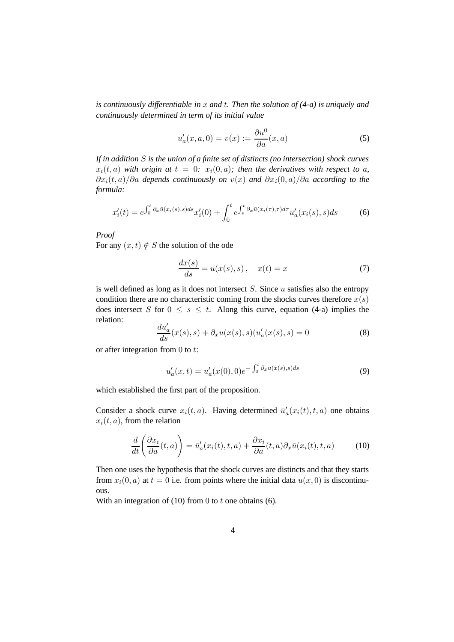*is continuously differentiable in* x *and* t*. Then the solution of (4-a) is uniquely and continuously determined in term of its initial value*

$$
u'_a(x, a, 0) = v(x) := \frac{\partial u^0}{\partial a}(x, a)
$$
\n<sup>(5)</sup>

*If in addition* S *is the union of a finite set of distincts (no intersection) shock curves*  $x_i(t, a)$  with origin at  $t = 0$ :  $x_i(0, a)$ ; then the derivatives with respect to a, ∂xi(t, a)/∂a *depends continuously on* v(x) *and* ∂xi(0, a)/∂a *according to the formula:*

$$
x_i'(t) = e^{\int_0^t \partial_x \bar{u}(x_i(s), s) ds} x_i'(0) + \int_0^t e^{\int_s^t \partial_x \bar{u}(x_i(\tau), \tau) d\tau} \bar{u}_a'(x_i(s), s) ds \tag{6}
$$

*Proof*

For any  $(x,t) \notin S$  the solution of the ode

$$
\frac{dx(s)}{ds} = u(x(s), s), \quad x(t) = x \tag{7}
$$

is well defined as long as it does not intersect  $S$ . Since  $u$  satisfies also the entropy condition there are no characteristic coming from the shocks curves therefore  $x(s)$ does intersect S for  $0 \leq s \leq t$ . Along this curve, equation (4-a) implies the relation:

$$
\frac{du_a'}{ds}(x(s),s) + \partial_x u(x(s),s)(u_a'(x(s),s)) = 0
$$
\n(8)

or after integration from 0 to t:

$$
u'_a(x,t) = u'_a(x(0),0)e^{-\int_0^t \partial_x u(x(s),s)ds}
$$
\n(9)

which established the first part of the proposition.

Consider a shock curve  $x_i(t, a)$ . Having determined  $\bar{u}'_c$  $a'_a(x_i(t),t,a)$  one obtains  $x_i(t, a)$ , from the relation

$$
\frac{d}{dt}\left(\frac{\partial x_i}{\partial a}(t,a)\right) = \bar{u}'_a(x_i(t),t,a) + \frac{\partial x_i}{\partial a}(t,a)\partial_x\bar{u}(x_i(t),t,a) \tag{10}
$$

Then one uses the hypothesis that the shock curves are distincts and that they starts from  $x_i(0, a)$  at  $t = 0$  i.e. from points where the initial data  $u(x, 0)$  is discontinuous.

With an integration of (10) from 0 to  $t$  one obtains (6).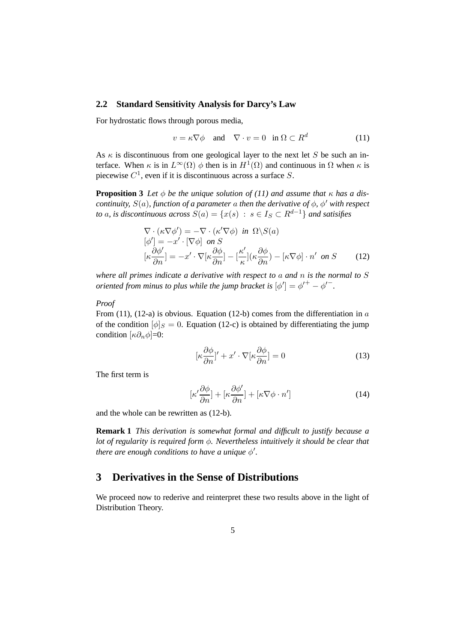#### **2.2 Standard Sensitivity Analysis for Darcy's Law**

For hydrostatic flows through porous media,

$$
v = \kappa \nabla \phi \quad \text{and} \quad \nabla \cdot v = 0 \quad \text{in } \Omega \subset R^d \tag{11}
$$

As  $\kappa$  is discontinuous from one geological layer to the next let S be such an interface. When  $\kappa$  is in  $L^{\infty}(\Omega)$   $\phi$  then is in  $H^{1}(\Omega)$  and continuous in  $\Omega$  when  $\kappa$  is piecewise  $C^1$ , even if it is discontinuous across a surface S.

**Proposition 3** *Let*  $\phi$  *be the unique solution of* (11) *and assume that*  $\kappa$  *has a discontinuity,* S(a)*, function of a parameter* a *then the derivative of* φ*,* φ <sup>0</sup> *with respect to a*, *is discontinuous across*  $S(a) = \{x(s) : s \in I_s \subset R^{d-1}\}\$  *and satisifies* 

$$
\nabla \cdot (\kappa \nabla \phi') = -\nabla \cdot (\kappa' \nabla \phi) \text{ in } \Omega \backslash S(a)
$$
  
\n
$$
[\phi'] = -x' \cdot [\nabla \phi] \text{ on } S
$$
  
\n
$$
[\kappa \frac{\partial \phi'}{\partial n}] = -x' \cdot \nabla [\kappa \frac{\partial \phi}{\partial n}] - [\frac{\kappa'}{\kappa}](\kappa \frac{\partial \phi}{\partial n}) - [\kappa \nabla \phi] \cdot n' \text{ on } S
$$
 (12)

*where all primes indicate a derivative with respect to* a *and* n *is the normal to* S *oriented from minus to plus while the jump bracket is*  $[\phi'] = \phi'^+ - \phi'^-$ .

#### *Proof*

From (11), (12-a) is obvious. Equation (12-b) comes from the differentiation in  $\alpha$ of the condition  $[\phi]_S = 0$ . Equation (12-c) is obtained by differentiating the jump condition  $[\kappa \partial_n \phi] = 0$ :

$$
[\kappa \frac{\partial \phi}{\partial n}]' + x' \cdot \nabla [\kappa \frac{\partial \phi}{\partial n}] = 0 \tag{13}
$$

The first term is

$$
[\kappa' \frac{\partial \phi}{\partial n}] + [\kappa \frac{\partial \phi'}{\partial n}] + [\kappa \nabla \phi \cdot n'] \tag{14}
$$

and the whole can be rewritten as (12-b).

**Remark 1** *This derivation is somewhat formal and difficult to justify because a lot of regularity is required form* φ*. Nevertheless intuitively it should be clear that there are enough conditions to have a unique*  $\phi'$ .

## **3 Derivatives in the Sense of Distributions**

We proceed now to rederive and reinterpret these two results above in the light of Distribution Theory.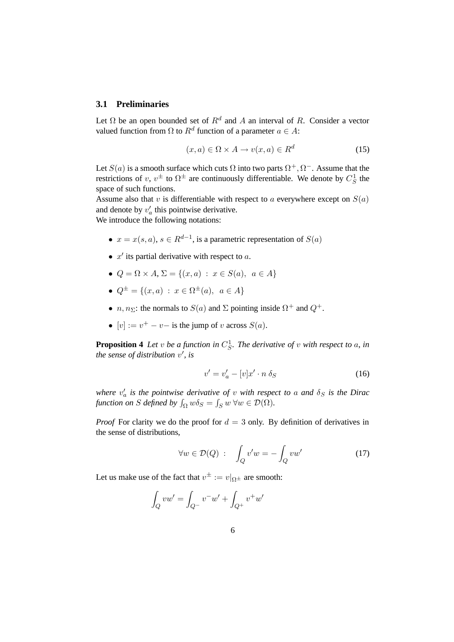## **3.1 Preliminaries**

Let  $\Omega$  be an open bounded set of  $R^d$  and A an interval of R. Consider a vector valued function from  $\Omega$  to  $R^d$  function of a parameter  $a \in A$ :

$$
(x,a) \in \Omega \times A \to v(x,a) \in R^d \tag{15}
$$

Let  $S(a)$  is a smooth surface which cuts  $\Omega$  into two parts  $\Omega^+, \Omega^-$ . Assume that the restrictions of  $v, v^{\pm}$  to  $\Omega^{\pm}$  are continuously differentiable. We denote by  $C_S^1$  the space of such functions.

Assume also that  $v$  is differentiable with respect to  $a$  everywhere except on  $S(a)$ and denote by  $v'_c$  $\frac{1}{a}$  this pointwise derivative.

We introduce the following notations:

- $x = x(s, a), s \in R^{d-1}$ , is a parametric representation of  $S(a)$
- $x'$  its partial derivative with respect to a.
- $Q = \Omega \times A$ ,  $\Sigma = \{(x, a) : x \in S(a), a \in A\}$
- $Q^{\pm} = \{(x, a) : x \in \Omega^{\pm}(a), a \in A\}$
- *n*, *n*<sub>Σ</sub>: the normals to *S*(*a*) and  $\Sigma$  pointing inside  $\Omega$ <sup>+</sup> and  $Q$ <sup>+</sup>.
- $[v] := v^+ v^-$  is the jump of v across  $S(a)$ .

**Proposition 4** Let v be a function in  $C_S^1$ . The derivative of v with respect to a, in *the sense of distribution* v 0 *, is*

$$
v' = v'_a - [v]x' \cdot n \delta_S \tag{16}
$$

where  $v_c'$  $\frac{a}{a}$  *is the pointwise derivative of v with respect to a and*  $\delta_S$  *is the Dirac function on S defined by*  $\int_{\Omega} w \delta_S = \int_S w \ \forall w \in \mathcal{D}(\Omega)$ .

*Proof* For clarity we do the proof for  $d = 3$  only. By definition of derivatives in the sense of distributions,

$$
\forall w \in \mathcal{D}(Q) : \quad \int_{Q} v'w = -\int_{Q} vw' \tag{17}
$$

Let us make use of the fact that  $v^{\pm} := v|_{\Omega^{\pm}}$  are smooth:

$$
\int_{Q} v w' = \int_{Q^{-}} v^{-} w' + \int_{Q^{+}} v^{+} w'
$$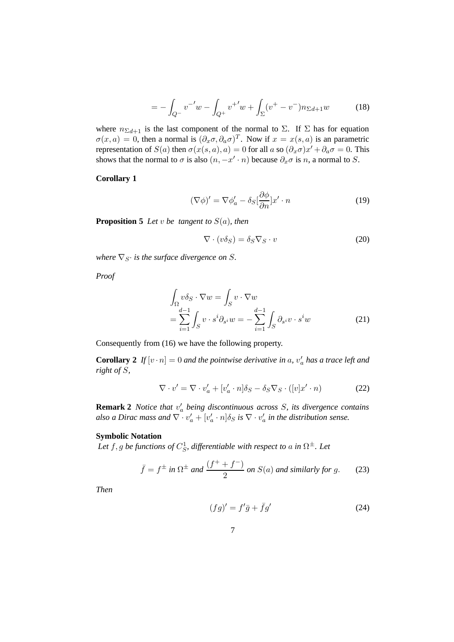$$
= -\int_{Q^{-}} v^{-\prime}w - \int_{Q^{+}} v^{+\prime}w + \int_{\Sigma} (v^{+} - v^{-})n_{\Sigma d+1}w \tag{18}
$$

where  $n_{\Sigma d+1}$  is the last component of the normal to  $\Sigma$ . If  $\Sigma$  has for equation  $\sigma(x,a) = 0$ , then a normal is  $(\partial_x \sigma, \partial_a \sigma)^T$ . Now if  $x = x(s,a)$  is an parametric representation of  $S(a)$  then  $\sigma(x(s, a), a) = 0$  for all  $a$  so  $(\partial_x \sigma)x' + \partial_a \sigma = 0$ . This shows that the normal to  $\sigma$  is also  $(n, -x' \cdot n)$  because  $\partial_x \sigma$  is n, a normal to S.

**Corollary 1**

$$
(\nabla \phi)' = \nabla \phi'_a - \delta_S \left[\frac{\partial \phi}{\partial n}\right] x' \cdot n \tag{19}
$$

**Proposition 5** *Let v be tangent to*  $S(a)$ *, then* 

$$
\nabla \cdot (v \delta_S) = \delta_S \nabla_S \cdot v \tag{20}
$$

*where*  $\nabla_S \cdot$  *is the surface divergence on S*.

*Proof*

$$
\int_{\Omega} v \delta_S \cdot \nabla w = \int_S v \cdot \nabla w
$$
\n
$$
= \sum_{i=1}^{d-1} \int_S v \cdot s^i \partial_{s^i} w = -\sum_{i=1}^{d-1} \int_S \partial_{s^i} v \cdot s^i w
$$
\n(21)

Consequently from (16) we have the following property.

**Corollary 2** If  $[v \cdot n] = 0$  *and the pointwise derivative in a,*  $v'_a$  *has a trace left and right of* S*,*

$$
\nabla \cdot v' = \nabla \cdot v'_a + [v'_a \cdot n] \delta_S - \delta_S \nabla_S \cdot ([v]x' \cdot n)
$$
 (22)

**Remark 2** *Notice that*  $v'_c$ a *being discontinuous across* S*, its divergence contains also a Dirac mass and*  $\nabla \cdot v'_a + v'_c$  $\int_a^t \cdot n \, dS \,$  is  $\nabla \cdot v'_a$ a *in the distribution sense.*

#### **Symbolic Notation**

Let  $f, g$  be functions of  $C_S^1$ , differentiable with respect to a in  $\Omega^{\pm}$ . Let

$$
\bar{f} = f^{\pm} \text{ in } \Omega^{\pm} \text{ and } \frac{(f^+ + f^-)}{2} \text{ on } S(a) \text{ and similarly for } g. \tag{23}
$$

*Then*

$$
(fg)' = f'\bar{g} + \bar{f}g'
$$
 (24)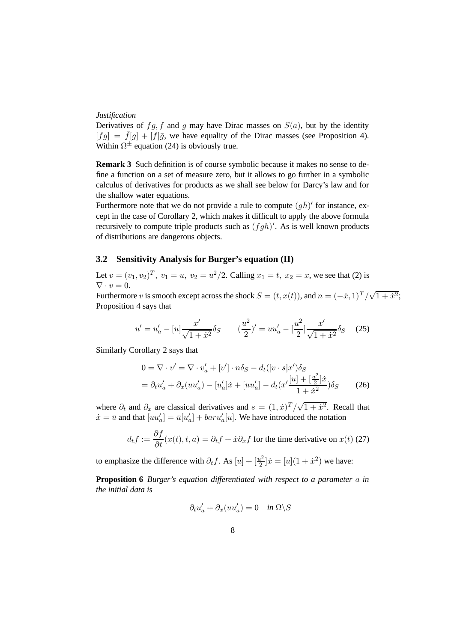#### *Justification*

Derivatives of  $fg$ , f and g may have Dirac masses on  $S(a)$ , but by the identity  $[f g] = \overline{f}[g] + [f]\overline{g}$ , we have equality of the Dirac masses (see Proposition 4). Within  $\Omega^{\pm}$  equation (24) is obviously true.

**Remark 3** Such definition is of course symbolic because it makes no sense to define a function on a set of measure zero, but it allows to go further in a symbolic calculus of derivatives for products as we shall see below for Darcy's law and for the shallow water equations.

Furthermore note that we do not provide a rule to compute  $(g\bar{h})'$  for instance, except in the case of Corollary 2, which makes it difficult to apply the above formula recursively to compute triple products such as  $(fgh)'$ . As is well known products of distributions are dangerous objects.

#### **3.2 Sensitivity Analysis for Burger's equation (II)**

Let  $v = (v_1, v_2)^T$ ,  $v_1 = u$ ,  $v_2 = u^2/2$ . Calling  $x_1 = t$ ,  $x_2 = x$ , we see that (2) is  $\nabla \cdot v = 0.$ 

Furthermore v is smooth except across the shock  $S = (t, x(t))$ , and  $n = (-\dot{x}, 1)^T / \sqrt{1 + \dot{x}^2}$ ; Proposition 4 says that

$$
u' = u'_a - [u] \frac{x'}{\sqrt{1 + \dot{x}^2}} \delta_S \qquad (\frac{u^2}{2})' = uu'_a - [\frac{u^2}{2}] \frac{x'}{\sqrt{1 + \dot{x}^2}} \delta_S \quad (25)
$$

Similarly Corollary 2 says that

$$
0 = \nabla \cdot v' = \nabla \cdot v'_a + [v'] \cdot n\delta_S - d_t([v \cdot s]x')\delta_S = \partial_t u'_a + \partial_x (uu'_a) - [u'_a]\dot{x} + [uu'_a] - d_t(x'\frac{[u] + [\frac{u^2}{2}]\dot{x}}{1 + \dot{x}^2})\delta_S
$$
(26)

where  $\partial_t$  and  $\partial_x$  are classical derivatives and  $s = (1, \dot{x})^T / \sqrt{1 + \dot{x}^2}$ . Recall that  $\dot{x} = \bar{u}$  and that  $[uu'_a] = \bar{u}[u'_a]$  $a'$ <sub>a</sub>] + baru'<sub>c</sub>  $a'[u]$ . We have introduced the notation

$$
d_t f := \frac{\partial f}{\partial t}(x(t), t, a) = \partial_t f + \dot{x}\partial_x f
$$
 for the time derivative on  $x(t)$  (27)

to emphasize the difference with  $\partial_t f$ . As  $[u] + \left[\frac{u^2}{2}\right]$  $\frac{u^2}{2}$ ] $\dot{x} = [u](1 + \dot{x}^2)$  we have:

**Proposition 6** *Burger's equation differentiated with respect to a parameter* a *in the initial data is*

$$
\partial_t u'_a + \partial_x (u u'_a) = 0 \quad \text{in } \Omega \backslash S
$$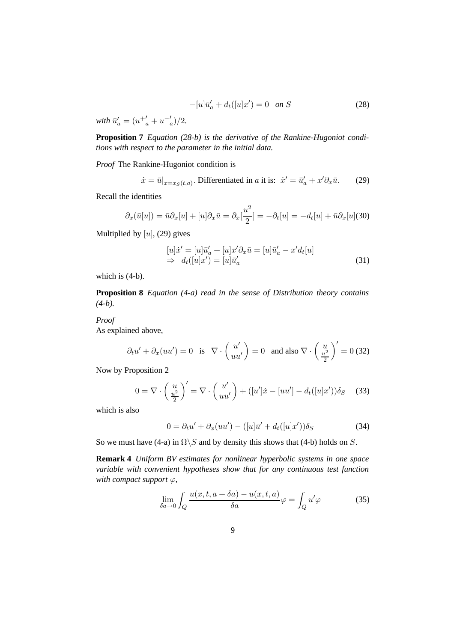$$
-[u]\bar{u}'_a + d_t([u]x') = 0 \quad on \ S \tag{28}
$$

*with*  $\bar{u}'_a = (u^+{}'_a + u^-'{}_c$  $'_{a})/2.$ 

**Proposition 7** *Equation (28-b) is the derivative of the Rankine-Hugoniot conditions with respect to the parameter in the initial data.*

*Proof* The Rankine-Hugoniot condition is

$$
\dot{x} = \bar{u}|_{x=x_S(t,a)}.
$$
 Differentiated in *a* it is:  $\dot{x}' = \bar{u}'_a + x'\partial_x\bar{u}.$  (29)

Recall the identities

$$
\partial_x(\bar{u}[u]) = \bar{u}\partial_x[u] + [u]\partial_x\bar{u} = \partial_x[\frac{u^2}{2}] = -\partial_t[u] = -d_t[u] + \bar{u}\partial_x[u]
$$
(30)

Multiplied by  $[u]$ , (29) gives

$$
[u]\dot{x}' = [u]\bar{u}'_a + [u]x'\partial_x\bar{u} = [u]\bar{u}'_a - x'd_t[u]
$$
  
\n
$$
\Rightarrow d_t([u]x') = [u]\bar{u}'_a \tag{31}
$$

which is (4-b).

**Proposition 8** *Equation (4-a) read in the sense of Distribution theory contains (4-b).*

*Proof*

As explained above,

$$
\partial_t u' + \partial_x (uu') = 0
$$
 is  $\nabla \cdot \begin{pmatrix} u' \\ uu' \end{pmatrix} = 0$  and also  $\nabla \cdot \begin{pmatrix} u \\ \frac{u^2}{2} \end{pmatrix}' = 0$  (32)

Now by Proposition 2

$$
0 = \nabla \cdot \left(\frac{u}{\frac{u^2}{2}}\right)' = \nabla \cdot \left(\frac{u'}{uu'}\right) + ([u']\dot{x} - [uu'] - d_t([u]x'))\delta_S \quad (33)
$$

which is also

$$
0 = \partial_t u' + \partial_x (uu') - ([u]\bar{u}' + d_t([u]x'))\delta_S \tag{34}
$$

So we must have (4-a) in  $\Omega \backslash S$  and by density this shows that (4-b) holds on S.

**Remark 4** *Uniform BV estimates for nonlinear hyperbolic systems in one space variable with convenient hypotheses show that for any continuous test function with compact support*  $\varphi$ *,* 

$$
\lim_{\delta a \to 0} \int_{Q} \frac{u(x, t, a + \delta a) - u(x, t, a)}{\delta a} \varphi = \int_{Q} u' \varphi \tag{35}
$$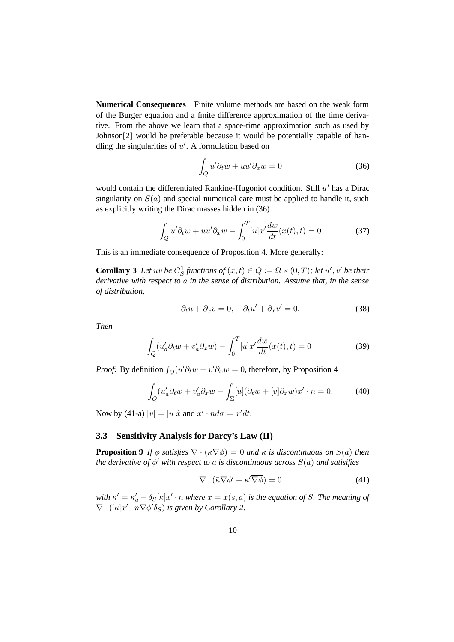**Numerical Consequences** Finite volume methods are based on the weak form of the Burger equation and a finite difference approximation of the time derivative. From the above we learn that a space-time approximation such as used by Johnson[2] would be preferable because it would be potentially capable of handling the singularities of  $u'$ . A formulation based on

$$
\int_{Q} u' \partial_t w + uu' \partial_x w = 0 \tag{36}
$$

would contain the differentiated Rankine-Hugoniot condition. Still  $u'$  has a Dirac singularity on  $S(a)$  and special numerical care must be applied to handle it, such as explicitly writing the Dirac masses hidden in (36)

$$
\int_{Q} u' \partial_t w + uu' \partial_x w - \int_0^T [u] x' \frac{dw}{dt} (x(t), t) = 0 \tag{37}
$$

This is an immediate consequence of Proposition 4. More generally:

**Corollary 3** Let uv be  $C_S^1$  functions of  $(x, t) \in Q := \Omega \times (0, T)$ ; let  $u', v'$  be their *derivative with respect to* a *in the sense of distribution. Assume that, in the sense of distribution,*

$$
\partial_t u + \partial_x v = 0, \quad \partial_t u' + \partial_x v' = 0.
$$
\n(38)

*Then*

$$
\int_{Q} (u'_a \partial_t w + v'_a \partial_x w) - \int_0^T [u] x' \frac{dw}{dt} (x(t), t) = 0 \tag{39}
$$

*Proof:* By definition  $\int_Q (u' \partial_t w + v' \partial_x w = 0$ , therefore, by Proposition 4

$$
\int_{Q} (u'_{a} \partial_t w + v'_{a} \partial_x w - \int_{\Sigma} [u] (\partial_t w + [v] \partial_x w) x' \cdot n = 0. \tag{40}
$$

Now by (41-a)  $[v] = [u]\dot{x}$  and  $x' \cdot nd\sigma = x'dt$ .

#### **3.3 Sensitivity Analysis for Darcy's Law (II)**

**Proposition 9** *If*  $\phi$  *satisfies*  $\nabla \cdot (\kappa \nabla \phi) = 0$  *and*  $\kappa$  *is discontinuous on*  $S(a)$  *then the derivative of* φ <sup>0</sup> *with respect to* a *is discontinuous across* S(a) *and satisifies*

$$
\nabla \cdot (\bar{\kappa} \nabla \phi' + \kappa' \overline{\nabla \phi}) = 0 \tag{41}
$$

with  $\kappa' = \kappa'_a - \delta_S[\kappa]x' \cdot n$  where  $x = x(s, a)$  is the equation of S. The meaning of  $\nabla \cdot ([\kappa]x' \cdot \tilde{n} \nabla \phi' \delta_S)$  *is given by Corollary 2.*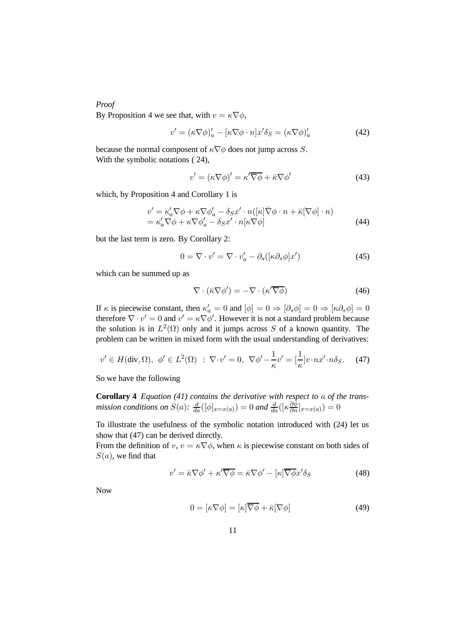*Proof*

By Proposition 4 we see that, with  $v = \kappa \nabla \phi$ ,

$$
v' = (\kappa \nabla \phi)'_a - [\kappa \nabla \phi \cdot n] x' \delta_S = (\kappa \nabla \phi)'_a \tag{42}
$$

because the normal composent of  $\kappa \nabla \phi$  does not jump across S. With the symbolic notations ( 24),

$$
v' = (\kappa \nabla \phi)' = \kappa' \overline{\nabla \phi} + \bar{\kappa} \nabla \phi'
$$
 (43)

which, by Proposition 4 and Corollary 1 is

$$
v' = \kappa_a' \nabla \phi + \kappa \nabla \phi_a' - \delta_S x' \cdot n([\kappa] \bar{\nabla} \phi \cdot n + \bar{\kappa} [\nabla \phi] \cdot n)
$$
  
=  $\kappa_a' \nabla \phi + \kappa \nabla \phi_a' - \delta_S x' \cdot n[\kappa \nabla \phi]$  (44)

but the last term is zero. By Corollary 2:

$$
0 = \nabla \cdot v' = \nabla \cdot v'_a - \partial_s([\kappa \partial_s \phi] x')
$$
 (45)

which can be summed up as

$$
\nabla \cdot (\bar{\kappa} \nabla \phi') = -\nabla \cdot (\kappa' \overline{\nabla \phi}) \tag{46}
$$

If  $\kappa$  is piecewise constant, then  $\kappa'_a = 0$  and  $[\phi] = 0 \Rightarrow [\partial_s \phi] = 0 \Rightarrow [\kappa \partial_s \phi] = 0$ therefore  $\nabla \cdot v' = 0$  and  $v' = \kappa \nabla \phi'$ . However it is not a standard problem because the solution is in  $L^2(\Omega)$  only and it jumps across S of a known quantity. The problem can be written in mixed form with the usual understanding of derivatives:

$$
v' \in H(\text{div}, \Omega), \ \phi' \in L^2(\Omega) \ : \ \nabla \cdot v' = 0, \ \nabla \phi' - \frac{1}{\kappa} v' = [\frac{1}{\kappa}] v \cdot n x' \cdot n \delta_S. \tag{47}
$$

So we have the following

**Corollary 4** *Equation (41) contains the derivative with respect to* a *of the transmission conditions on*  $S(a)$ :  $\frac{d}{da}([\phi]_{x=x(a)}) = 0$  and  $\frac{d}{da}([\kappa \frac{\partial \phi}{\partial n})]$  $\frac{\partial \varphi}{\partial n}]_{x=x(a)})=0$ 

To illustrate the usefulness of the symbolic notation introduced with (24) let us show that (47) can be derived directly.

From the definition of  $v, v = \kappa \nabla \phi$ , when  $\kappa$  is piecewise constant on both sides of  $S(a)$ , we find that

$$
v' = \bar{\kappa}\nabla\phi' + \kappa'\overline{\nabla\phi} = \bar{\kappa}\nabla\phi' - [\kappa]\overline{\nabla\phi}x'\delta_S
$$
\n(48)

Now

$$
0 = [\kappa \nabla \phi] = [\kappa] \overline{\nabla \phi} + \bar{\kappa} [\nabla \phi]
$$
\n(49)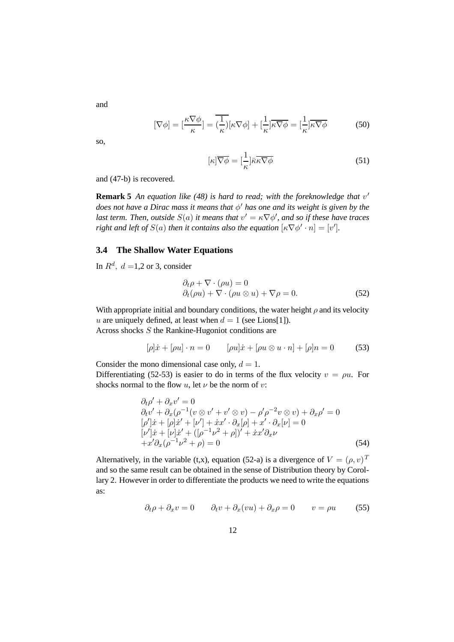and

$$
[\nabla \phi] = [\frac{\kappa \nabla \phi}{\kappa}] = \overline{(\frac{1}{\kappa})} [\kappa \nabla \phi] + [\frac{1}{\kappa}] \overline{\kappa \nabla \phi} = [\frac{1}{\kappa}] \overline{\kappa \nabla \phi}
$$
(50)

so,

$$
[\kappa]\overline{\nabla\phi} = \left[\frac{1}{\kappa}\right]\overline{\kappa\kappa\nabla\phi}
$$
\n(51)

and (47-b) is recovered.

**Remark 5** *An equation like (48) is hard to read; with the foreknowledge that* v 0 *does not have a Dirac mass it means that* φ <sup>0</sup> *has one and its weight is given by the last term. Then, outside*  $S(a)$  *it means that*  $v' = \kappa \nabla \phi'$ *, and so if these have traces right and left of*  $S(a)$  *then it contains also the equation*  $[\kappa \nabla \phi' \cdot n] = [v']$ *.* 

#### **3.4 The Shallow Water Equations**

In  $R^d$ ,  $d = 1,2$  or 3, consider

$$
\partial_t \rho + \nabla \cdot (\rho u) = 0 \n\partial_t (\rho u) + \nabla \cdot (\rho u \otimes u) + \nabla \rho = 0.
$$
\n(52)

With appropriate initial and boundary conditions, the water height  $\rho$  and its velocity u are uniquely defined, at least when  $d = 1$  (see Lions[1]). Across shocks S the Rankine-Hugoniot conditions are

$$
[\rho]\dot{x} + [\rho u] \cdot n = 0 \qquad [\rho u]\dot{x} + [\rho u \otimes u \cdot n] + [\rho]n = 0 \tag{53}
$$

Consider the mono dimensional case only,  $d = 1$ .

Differentiating (52-53) is easier to do in terms of the flux velocity  $v = \rho u$ . For shocks normal to the flow  $u$ , let  $\nu$  be the norm of  $v$ :

$$
\partial_t \rho' + \partial_x v' = 0 \n\partial_t v' + \partial_x (\rho^{-1}(v \otimes v' + v' \otimes v) - \rho' \rho^{-2} v \otimes v) + \partial_x \rho' = 0 \n[\rho']\dot{x} + [\rho]\dot{x}' + [\nu'] + \dot{x}x' \cdot \partial_x[\rho] + x' \cdot \partial_x[\nu] = 0 \n[\nu']\dot{x} + [\nu]\dot{x}' + ([\rho^{-1}\nu^2 + \rho])' + \dot{x}x'\partial_x \nu \n+ x'\partial_x(\rho^{-1}\nu^2 + \rho) = 0
$$
\n(54)

Alternatively, in the variable (t,x), equation (52-a) is a divergence of  $V = (\rho, v)^T$ and so the same result can be obtained in the sense of Distribution theory by Corollary 2. However in order to differentiate the products we need to write the equations as:

$$
\partial_t \rho + \partial_x v = 0 \qquad \partial_t v + \partial_x (vu) + \partial_x \rho = 0 \qquad v = \rho u \tag{55}
$$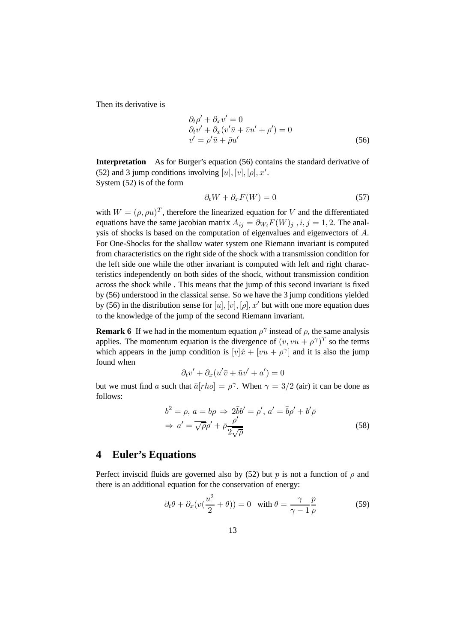Then its derivative is

$$
\partial_t \rho' + \partial_x v' = 0
$$
  
\n
$$
\partial_t v' + \partial_x (v'\bar{u} + \bar{v}u' + \rho') = 0
$$
  
\n
$$
v' = \rho' \bar{u} + \bar{\rho}u'
$$
\n(56)

**Interpretation** As for Burger's equation (56) contains the standard derivative of (52) and 3 jump conditions involving [u], [v], [ $\rho$ ],  $x'$ . System (52) is of the form

$$
\partial_t W + \partial_x F(W) = 0 \tag{57}
$$

with  $W = (\rho, \rho u)^T$ , therefore the linearized equation for V and the differentiated equations have the same jacobian matrix  $A_{ij} = \partial_{W_i} F(W)_i$ ,  $i, j = 1, 2$ . The analysis of shocks is based on the computation of eigenvalues and eigenvectors of A. For One-Shocks for the shallow water system one Riemann invariant is computed from characteristics on the right side of the shock with a transmission condition for the left side one while the other invariant is computed with left and right characteristics independently on both sides of the shock, without transmission condition across the shock while . This means that the jump of this second invariant is fixed by (56) understood in the classical sense. So we have the 3 jump conditions yielded by (56) in the distribution sense for [u], [v], [ $\rho$ ],  $x'$  but with one more equation dues to the knowledge of the jump of the second Riemann invariant.

**Remark 6** If we had in the momentum equation  $\rho^{\gamma}$  instead of  $\rho$ , the same analysis applies. The momentum equation is the divergence of  $(v, vu + \rho^{\gamma})^T$  so the terms which appears in the jump condition is  $[v]\dot{x} + [vu + \rho^\gamma]$  and it is also the jump found when

$$
\partial_t v' + \partial_x (u'\bar{v} + \bar{u}v' + a') = 0
$$

but we must find a such that  $\bar{a}[rho] = \rho^{\gamma}$ . When  $\gamma = 3/2$  (air) it can be done as follows:

$$
b2 = \rho, a = b\rho \Rightarrow 2\bar{b}b' = \rho', a' = \bar{b}\rho' + b'\bar{\rho}
$$
  

$$
\Rightarrow a' = \frac{\sqrt{\rho}}{\sqrt{\rho}} + \bar{\rho}\frac{\rho'}{2\sqrt{\rho}}
$$
(58)

## **4 Euler's Equations**

Perfect inviscid fluids are governed also by (52) but p is not a function of  $\rho$  and there is an additional equation for the conservation of energy:

$$
\partial_t \theta + \partial_x (v(\frac{u^2}{2} + \theta)) = 0 \quad \text{with } \theta = \frac{\gamma}{\gamma - 1} \frac{p}{\rho}
$$
 (59)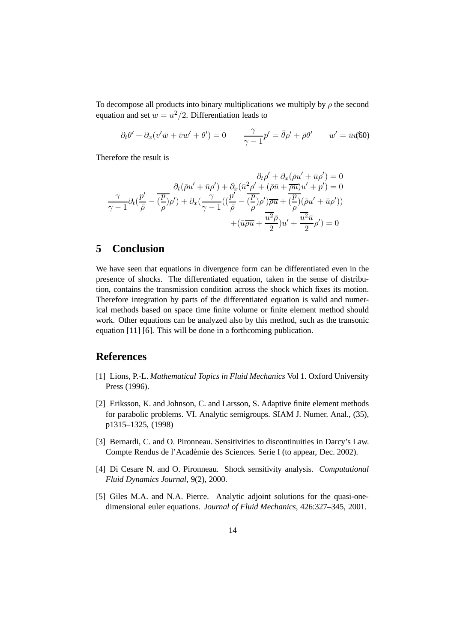To decompose all products into binary multiplications we multiply by  $\rho$  the second equation and set  $w = u^2/2$ . Differentiation leads to

$$
\partial_t \theta' + \partial_x (v' \bar{w} + \bar{v} w' + \theta') = 0 \qquad \frac{\gamma}{\gamma - 1} p' = \bar{\theta} \rho' + \bar{\rho} \theta' \qquad w' = \bar{u} \psi(60)
$$

Therefore the result is

$$
\partial_t \rho' + \partial_x (\bar{\rho} u' + \bar{u} \rho') = 0
$$
  

$$
\frac{\partial_t (\bar{\rho} u' + \bar{u} \rho') + \partial_x (\bar{u}^2 \rho' + (\bar{\rho} \bar{u} + \bar{\rho} \bar{u}) u' + p') = 0}{\gamma - 1} \partial_t (\frac{p'}{\bar{\rho}} - (\frac{\gamma}{\rho}) \rho') + \partial_x (\frac{\gamma}{\gamma - 1} ((\frac{p'}{\bar{\rho}} - (\frac{p}{\rho}) \rho') \bar{\rho} \bar{u} + (\frac{p}{\rho}) (\bar{\rho} u' + \bar{u} \rho')) + (\bar{u} \bar{\rho} \bar{u} + \frac{\bar{u}^2 \bar{\rho}}{2}) u' + \frac{\bar{u}^2 \bar{u}}{2} \rho') = 0
$$

# **5 Conclusion**

We have seen that equations in divergence form can be differentiated even in the presence of shocks. The differentiated equation, taken in the sense of distribution, contains the transmission condition across the shock which fixes its motion. Therefore integration by parts of the differentiated equation is valid and numerical methods based on space time finite volume or finite element method should work. Other equations can be analyzed also by this method, such as the transonic equation [11] [6]. This will be done in a forthcoming publication.

## **References**

- [1] Lions, P.-L. *Mathematical Topics in Fluid Mechanics* Vol 1. Oxford University Press (1996).
- [2] Eriksson, K. and Johnson, C. and Larsson, S. Adaptive finite element methods for parabolic problems. VI. Analytic semigroups. SIAM J. Numer. Anal., (35), p1315–1325, (1998)
- [3] Bernardi, C. and O. Pironneau. Sensitivities to discontinuities in Darcy's Law. Compte Rendus de l'Académie des Sciences. Serie I (to appear, Dec. 2002).
- [4] Di Cesare N. and O. Pironneau. Shock sensitivity analysis. *Computational Fluid Dynamics Journal*, 9(2), 2000.
- [5] Giles M.A. and N.A. Pierce. Analytic adjoint solutions for the quasi-onedimensional euler equations. *Journal of Fluid Mechanics*, 426:327–345, 2001.